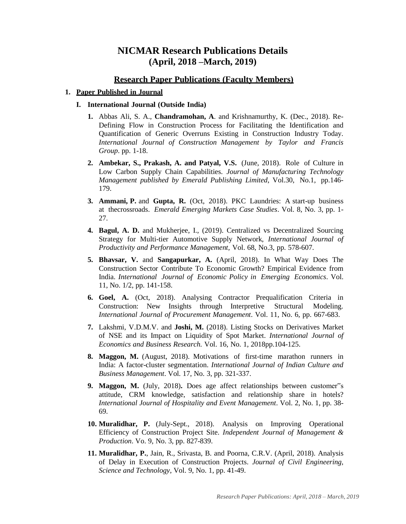# **NICMAR Research Publications Details (April, 2018 –March, 2019)**

## **Research Paper Publications (Faculty Members)**

## **1. Paper Published in Journal**

## **I. International Journal (Outside India)**

- **1.** Abbas Ali, S. A., **Chandramohan, A**. and Krishnamurthy, K. (Dec., 2018). Re-Defining Flow in Construction Process for Facilitating the Identification and Quantification of Generic Overruns Existing in Construction Industry Today. *International Journal of Construction Management by Taylor and Francis Group*. pp. 1-18.
- **2. Ambekar, S., Prakash, A. and Patyal, V.S.** (June, 2018). Role of Culture in Low Carbon Supply Chain Capabilities. *Journal of Manufacturing Technology Management published by Emerald Publishing Limited*, Vol.30, No.1, pp.146- 179.
- **3. Ammani, P.** and **Gupta, R.** (Oct, 2018). PKC Laundries: A start-up business at thecrossroads. *Emerald Emerging Markets Case Studies*. Vol. 8, No. 3, pp. 1- 27.
- **4. Bagul, A. D.** and Mukherjee, I., (2019). Centralized vs Decentralized Sourcing Strategy for Multi-tier Automotive Supply Network, *International Journal of Productivity and Performance Management,* Vol. 68, No.3, pp. 578-607.
- **5. Bhavsar, V.** and **Sangapurkar, A.** (April, 2018). In What Way Does The Construction Sector Contribute To Economic Growth? Empirical Evidence from India. *International Journal of Economic Policy in Emerging Economics*. Vol. 11, No. 1/2, pp. 141-158.
- **6. Goel, A.** (Oct, 2018). Analysing Contractor Prequalification Criteria in Construction: New Insights through Interpretive Structural Modeling. *International Journal of Procurement Management*. Vol. 11, No. 6, pp. 667-683.
- **7.** Lakshmi, V.D.M.V. and **Joshi, M.** (2018). Listing Stocks on Derivatives Market of NSE and its Impact on Liquidity of Spot Market. *International Journal of Economics and Business Research.* Vol. 16, No. 1, 2018pp.104-125.
- **8. Maggon, M.** (August, 2018). Motivations of first-time marathon runners in India: A factor-cluster segmentation. *International Journal of Indian Culture and Business Management*. Vol. 17, No. 3, pp. 321-337.
- **9. Maggon, M.** (July, 2018)**.** Does age affect relationships between customer"s attitude, CRM knowledge, satisfaction and relationship share in hotels? *International Journal of Hospitality and Event Management*. Vol. 2, No. 1, pp. 38- 69.
- **10. Muralidhar, P.** (July-Sept., 2018). Analysis on Improving Operational Efficiency of Construction Project Site. *Independent Journal of Management & Production*. Vo. 9, No. 3, pp. 827-839.
- **11. Muralidhar, P.**, Jain, R., Srivasta, B. and Poorna, C.R.V. (April, 2018). Analysis of Delay in Execution of Construction Projects. *Journal of Civil Engineering, Science and Technology*, Vol. 9, No. 1, pp. 41-49.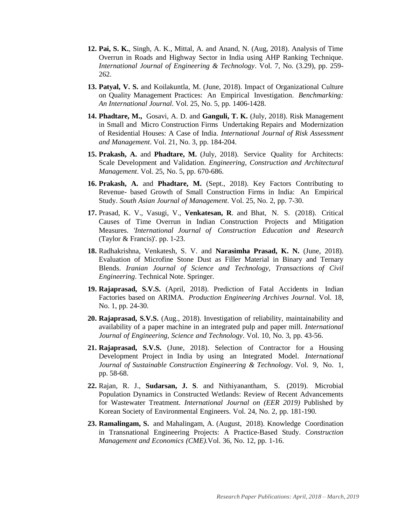- **12. Pai, S. K.**, Singh, A. K., Mittal, A. and Anand, N. (Aug, 2018). Analysis of Time Overrun in Roads and Highway Sector in India using AHP Ranking Technique. *International Journal of Engineering & Technology*. Vol. 7, No. (3.29), pp. 259- 262.
- **13. Patyal, V. S.** and Koilakuntla, M. (June, 2018). Impact of Organizational Culture on Quality Management Practices: An Empirical Investigation. *Benchmarking: An International Journal*. Vol. 25, No. 5, pp. 1406-1428.
- **14. Phadtare, M.,** Gosavi, A. D. and **Ganguli, T. K.** (July, 2018). Risk Management in Small and Micro Construction Firms Undertaking Repairs and Modernization of Residential Houses: A Case of India. *International Journal of Risk Assessment and Management*. Vol. 21, No. 3, pp. 184-204.
- **15. Prakash, A.** and **Phadtare, M.** (July, 2018). Service Quality for Architects: Scale Development and Validation. *Engineering, Construction and Architectural Management*. Vol. 25, No. 5, pp. 670-686.
- **16. Prakash, A.** and **Phadtare, M.** (Sept., 2018). Key Factors Contributing to Revenue- based Growth of Small Construction Firms in India: An Empirical Study. *South Asian Journal of Management*. Vol. 25, No. 2, pp. 7-30.
- **17.** Prasad, K. V., Vasugi, V., **Venkatesan, R**. and Bhat, N. S. (2018). Critical Causes of Time Overrun in Indian Construction Projects and Mitigation Measures. *'International Journal of Construction Education and Research* (Taylor & Francis)'. pp. 1-23.
- **18.** Radhakrishna, Venkatesh, S. V. and **Narasimha Prasad, K. N.** (June, 2018). Evaluation of Microfine Stone Dust as Filler Material in Binary and Ternary Blends. *Iranian Journal of Science and Technology, Transactions of Civil Engineering*. Technical Note. Springer.
- **19. Rajaprasad, S.V.S.** (April, 2018). Prediction of Fatal Accidents in Indian Factories based on ARIMA. *Production Engineering Archives Journal*. Vol. 18, No. 1, pp. 24-30.
- **20. Rajaprasad, S.V.S.** (Aug., 2018). Investigation of reliability, maintainability and availability of a paper machine in an integrated pulp and paper mill. *International Journal of Engineering, Science and Technology*. Vol. 10, No. 3, pp. 43-56.
- **21. Rajaprasad, S.V.S.** (June, 2018). Selection of Contractor for a Housing Development Project in India by using an Integrated Model. *International Journal of Sustainable Construction Engineering & Technology*. Vol. 9, No. 1, pp. 58-68.
- **22.** Rajan, R. J., **Sudarsan, J. S**. and Nithiyanantham, S. (2019). Microbial Population Dynamics in Constructed Wetlands: Review of Recent Advancements for Wastewater Treatment. *International Journal on (EER 2019)* Published by Korean Society of Environmental Engineers. Vol. 24, No. 2, pp. 181-190.
- **23. Ramalingam, S.** and Mahalingam, A. (August, 2018). Knowledge Coordination in Transnational Engineering Projects: A Practice-Based Study. *Construction Management and Economics (CME).*Vol. 36, No. 12, pp. 1-16.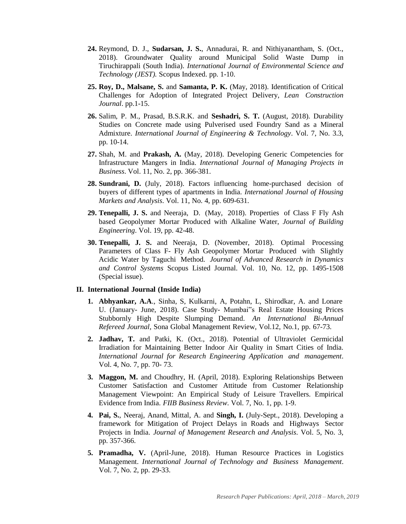- **24.** Reymond, D. J., **Sudarsan, J. S.**, Annadurai, R. and Nithiyanantham, S. (Oct., 2018). Groundwater Quality around Municipal Solid Waste Dump in Tiruchirappali (South India). *International Journal of Environmental Science and Technology (JEST).* Scopus Indexed. pp. 1-10.
- **25. Roy, D., Malsane, S.** and **Samanta, P. K.** (May, 2018). Identification of Critical Challenges for Adoption of Integrated Project Delivery, *Lean Construction Journal*. pp.1-15.
- **26.** Salim, P. M., Prasad, B.S.R.K. and **Seshadri, S. T.** (August, 2018). Durability Studies on Concrete made using Pulverised used Foundry Sand as a Mineral Admixture. *International Journal of Engineering & Technology*. Vol. 7, No. 3.3, pp. 10-14.
- **27.** Shah, M. and **Prakash, A.** (May, 2018). Developing Generic Competencies for Infrastructure Mangers in India. *International Journal of Managing Projects in Business*. Vol. 11, No. 2, pp. 366-381.
- **28. Sundrani, D.** (July, 2018). Factors influencing home-purchased decision of buyers of different types of apartments in India. *International Journal of Housing Markets and Analysis*. Vol. 11, No. 4, pp. 609-631.
- **29. Tenepalli, J. S.** and Neeraja, D. (May, 2018). Properties of Class F Fly Ash based Geopolymer Mortar Produced with Alkaline Water, *Journal of Building Engineering*. Vol. 19, pp. 42-48.
- **30. Tenepalli, J. S.** and Neeraja, D. (November, 2018). Optimal Processing Parameters of Class F- Fly Ash Geopolymer Mortar Produced with Slightly Acidic Water by Taguchi Method. *Journal of Advanced Research in Dynamics and Control Systems* Scopus Listed Journal. Vol. 10, No. 12, pp. 1495-1508 (Special issue).

#### **II. International Journal (Inside India)**

- **1. Abhyankar, A.A**., Sinha, S, Kulkarni, A, Potahn, L, Shirodkar, A. and Lonare U. (January- June, 2018). Case Study- Mumbai"s Real Estate Housing Prices Stubbornly High Despite Slumping Demand. *An International Bi-Annual Refereed Journal*, Sona Global Management Review, Vol.12, No.1, pp. 67-73.
- **2. Jadhav, T.** and Patki, K. (Oct., 2018). Potential of Ultraviolet Germicidal Irradiation for Maintaining Better Indoor Air Quality in Smart Cities of India. *International Journal for Research Engineering Application and management*. Vol. 4, No. 7, pp. 70- 73.
- **3. Maggon, M.** and Choudhry, H. (April, 2018). Exploring Relationships Between Customer Satisfaction and Customer Attitude from Customer Relationship Management Viewpoint: An Empirical Study of Leisure Travellers. Empirical Evidence from India. *FIIB Business Review*. Vol. 7, No. 1, pp. 1-9.
- **4. Pai, S.**, Neeraj, Anand, Mittal, A. and **Singh, I.** (July-Sept., 2018). Developing a framework for Mitigation of Project Delays in Roads and Highways Sector Projects in India. *Journal of Management Research and Analysis*. Vol. 5, No. 3, pp. 357-366.
- **5. Pramadha, V.** (April-June, 2018). Human Resource Practices in Logistics Management. *International Journal of Technology and Business Management*. Vol. 7, No. 2, pp. 29-33.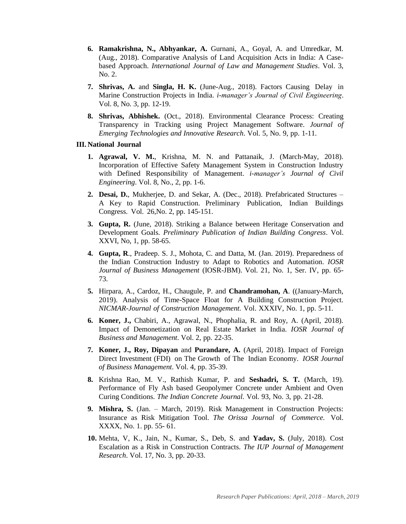- **6. Ramakrishna, N., Abhyankar, A.** Gurnani, A., Goyal, A. and Umredkar, M. (Aug., 2018). Comparative Analysis of Land Acquisition Acts in India: A Casebased Approach. *International Journal of Law and Management Studies*. Vol. 3, No. 2.
- **7. Shrivas, A.** and **Singla, H. K.** (June-Aug., 2018). Factors Causing Delay in Marine Construction Projects in India. *i-manager's Journal of Civil Engineering*. Vol. 8, No. 3, pp. 12-19.
- **8. Shrivas, Abhishek.** (Oct., 2018). Environmental Clearance Process: Creating Transparency in Tracking using Project Management Software. *Journal of Emerging Technologies and Innovative Research*. Vol. 5, No. 9, pp. 1-11.

#### **III. National Journal**

- **1. Agrawal, V. M.**, Krishna, M. N. and Pattanaik, J. (March-May, 2018). Incorporation of Effective Safety Management System in Construction Industry with Defined Responsibility of Management. *i-manager's Journal of Civil Engineering*. Vol. 8, No., 2, pp. 1-6.
- **2. Desai, D.**, Mukherjee, D. and Sekar, A. (Dec., 2018). Prefabricated Structures A Key to Rapid Construction. Preliminary Publication, Indian Buildings Congress. Vol. 26,No. 2, pp. 145-151.
- **3. Gupta, R.** (June, 2018). Striking a Balance between Heritage Conservation and Development Goals. *Preliminary Publication of Indian Building Congress*. Vol. XXVI, No, 1, pp. 58-65.
- **4. Gupta, R**., Pradeep. S. J., Mohota, C. and Datta, M. (Jan. 2019). Preparedness of the Indian Construction Industry to Adapt to Robotics and Automation. *IOSR Journal of Business Management* (IOSR-JBM). Vol. 21, No. 1, Ser. IV, pp. 65- 73.
- **5.** Hirpara, A., Cardoz, H., Chaugule, P. and **Chandramohan, A**. ((January-March, 2019). Analysis of Time-Space Float for A Building Construction Project. *NICMAR-Journal of Construction Management.* Vol. XXXIV, No. 1, pp. 5-11.
- **6. Koner, J.,** Chabiri, A., Agrawal, N., Phophalia, R. and Roy, A. (April, 2018). Impact of Demonetization on Real Estate Market in India. *IOSR Journal of Business and Management*. Vol. 2, pp. 22-35.
- **7. Koner, J., Roy, Dipayan** and **Purandare, A.** (April, 2018). Impact of Foreign Direct Investment (FDI) on The Growth of The Indian Economy. *IOSR Journal of Business Management*. Vol. 4, pp. 35-39.
- **8.** Krishna Rao, M. V., Rathish Kumar, P. and **Seshadri, S. T.** (March, 19). Performance of Fly Ash based Geopolymer Concrete under Ambient and Oven Curing Conditions. *The Indian Concrete Journal.* Vol. 93, No. 3, pp. 21-28.
- **9. Mishra, S.** (Jan. March, 2019). Risk Management in Construction Projects: Insurance as Risk Mitigation Tool. *The Orissa Journal of Commerce.* Vol. XXXX, No. 1. pp. 55- 61.
- **10.** Mehta, V, K., Jain, N., Kumar, S., Deb, S. and **Yadav, S.** (July, 2018). Cost Escalation as a Risk in Construction Contracts. *The IUP Journal of Management Research*. Vol. 17, No. 3, pp. 20-33.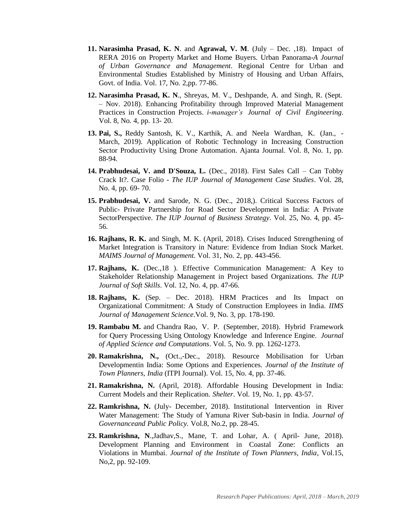- **11. Narasimha Prasad, K. N**. and **Agrawal, V. M**. (July Dec. ,18). Impact of RERA 2016 on Property Market and Home Buyers. Urban Panorama-*A Journal of Urban Governance and Management*. Regional Centre for Urban and Environmental Studies Established by Ministry of Housing and Urban Affairs, Govt. of India. Vol. 17, No. 2,pp. 77-86.
- **12. Narasimha Prasad, K. N**., Shreyas, M. V., Deshpande, A. and Singh, R. (Sept. – Nov. 2018). Enhancing Profitability through Improved Material Management Practices in Construction Projects. *i-manager's Journal of Civil Engineering*. Vol. 8, No. 4, pp. 13- 20.
- **13. Pai, S.,** Reddy Santosh, K. V., Karthik, A. and Neela Wardhan, K. (Jan., March, 2019). Application of Robotic Technology in Increasing Construction Sector Productivity Using Drone Automation. Ajanta Journal. Vol. 8, No. 1, pp. 88-94.
- **14. Prabhudesai, V. and D'Souza, L.** (Dec., 2018). First Sales Call Can Tobby Crack It?. Case Folio - *The IUP Journal of Management Case Studies*. Vol. 28, No. 4, pp. 69- 70.
- **15. Prabhudesai, V.** and Sarode, N. G. (Dec., 2018,). Critical Success Factors of Public- Private Partnership for Road Sector Development in India: A Private SectorPerspective. *The IUP Journal of Business Strategy*. Vol. 25, No. 4, pp. 45- 56.
- **16. Rajhans, R. K.** and Singh, M. K. (April, 2018). Crises Induced Strengthening of Market Integration is Transitory in Nature: Evidence from Indian Stock Market. *MAIMS Journal of Management*. Vol. 31, No. 2, pp. 443-456.
- **17. Rajhans, K.** (Dec.,18 ). Effective Communication Management: A Key to Stakeholder Relationship Management in Project based Organizations. *The IUP Journal of Soft Skills*. Vol. 12, No. 4, pp. 47-66.
- **18. Rajhans, K.** (Sep. Dec. 2018). HRM Practices and Its Impact on Organizational Commitment: A Study of Construction Employees in India. *IIMS Journal of Management Science*.Vol. 9, No. 3, pp. 178-190.
- **19. Rambabu M.** and Chandra Rao, V. P. (September, 2018). Hybrid Framework for Query Processing Using Ontology Knowledge and Inference Engine. *Journal of Applied Science and Computations*. Vol. 5, No. 9. pp. 1262-1273.
- **20. Ramakrishna, N.,** (Oct.,-Dec., 2018). Resource Mobilisation for Urban Developmentin India: Some Options and Experiences. *Journal of the Institute of Town Planners, India* (ITPI Journal). Vol. 15, No. 4, pp. 37-46.
- **21. Ramakrishna, N.** (April, 2018). Affordable Housing Development in India: Current Models and their Replication. *Shelter*. Vol. 19, No. 1, pp. 43-57.
- **22. Ramkrishna, N.** (July- December, 2018). Institutional Intervention in River Water Management: The Study of Yamuna River Sub-basin in India. *Journal of Governanceand Public Policy.* Vol.8, No.2, pp. 28-45.
- **23. Ramkrishna, N**.,Jadhav,S., Mane, T. and Lohar, A. ( April- June, 2018). Development Planning and Environment in Coastal Zone: Conflicts an Violations in Mumbai. *Journal of the Institute of Town Planners, India*, Vol.15, No,2, pp. 92-109.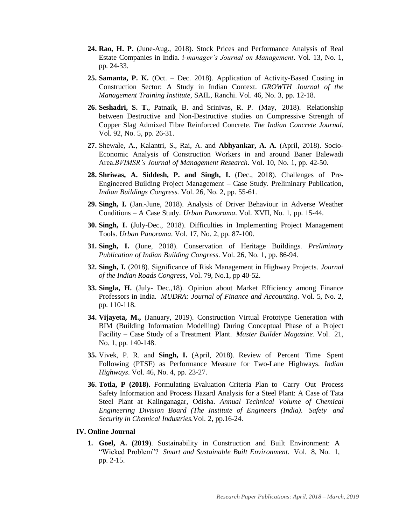- **24. Rao, H. P.** (June-Aug., 2018). Stock Prices and Performance Analysis of Real Estate Companies in India. *i-manager's Journal on Management*. Vol. 13, No. 1, pp. 24-33.
- **25. Samanta, P. K.** (Oct. Dec. 2018). Application of Activity-Based Costing in Construction Sector: A Study in Indian Context. *GROWTH Journal of the Management Training Institute*, SAIL, Ranchi. Vol. 46, No. 3, pp. 12-18.
- **26. Seshadri, S. T.**, Patnaik, B. and Srinivas, R. P. (May, 2018). Relationship between Destructive and Non-Destructive studies on Compressive Strength of Copper Slag Admixed Fibre Reinforced Concrete. *The Indian Concrete Journal*, Vol. 92, No. 5, pp. 26-31.
- **27.** Shewale, A., Kalantri, S., Rai, A. and **Abhyankar, A. A.** (April, 2018). Socio-Economic Analysis of Construction Workers in and around Baner Balewadi Area.*BVIMSR's Journal of Management Research*. Vol. 10, No. 1, pp. 42-50.
- **28. Shriwas, A. Siddesh, P. and Singh, I.** (Dec., 2018). Challenges of Pre-Engineered Building Project Management – Case Study. Preliminary Publication, *Indian Buildings Congress.* Vol. 26, No. 2, pp. 55-61.
- **29. Singh, I.** (Jan.-June, 2018). Analysis of Driver Behaviour in Adverse Weather Conditions – A Case Study. *Urban Panorama*. Vol. XVII, No. 1, pp. 15-44.
- **30. Singh, I.** (July-Dec., 2018). Difficulties in Implementing Project Management Tools. *Urban Panorama*. Vol. 17, No. 2, pp. 87-100.
- **31. Singh, I.** (June, 2018). Conservation of Heritage Buildings. *Preliminary Publication of Indian Building Congress*. Vol. 26, No. 1, pp. 86-94.
- **32. Singh, I.** (2018). [Significance of Risk Management in Highway Projects.](https://trid.trb.org/View/1567400) *Journal of the Indian Roads Congress*, Vol. 79, No.1, pp 40-52.
- **33. Singla, H.** (July- Dec.,18). Opinion about Market Efficiency among Finance Professors in India. *MUDRA: Journal of Finance and Accounting*. Vol. 5, No. 2, pp. 110-118.
- **34. Vijayeta, M.,** (January, 2019). Construction Virtual Prototype Generation with BIM (Building Information Modelling) During Conceptual Phase of a Project Facility – Case Study of a Treatment Plant. *Master Builder Magazine*. Vol. 21, No. 1, pp. 140-148.
- **35.** Vivek, P. R. and **Singh, I.** (April, 2018). Review of Percent Time Spent Following (PTSF) as Performance Measure for Two-Lane Highways. *Indian Highways*. Vol. 46, No. 4, pp. 23-27.
- **36. Totla, P (2018).** Formulating Evaluation Criteria Plan to Carry Out Process Safety Information and Process Hazard Analysis for a Steel Plant: A Case of Tata Steel Plant at Kalinganagar, Odisha. *Annual Technical Volume of Chemical Engineering Division Board (The Institute of Engineers (India)*. *Safety and Security in Chemical Industries.*Vol. 2, pp.16-24.

#### **IV. Online Journal**

**1. Goel, A. (2019**). Sustainability in Construction and Built Environment: A "Wicked Problem"? *Smart and Sustainable Built Environment.* Vol. 8, No. 1, pp. 2-15.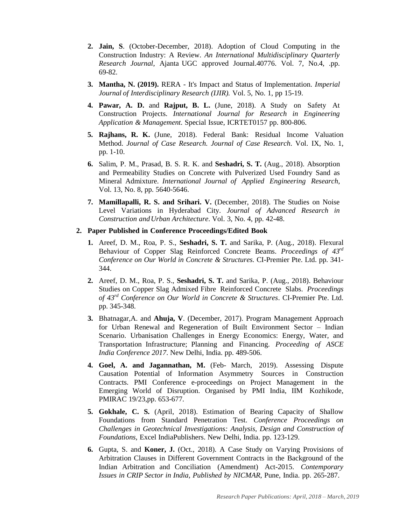- **2. Jain, S**. (October-December, 2018). Adoption of Cloud Computing in the Construction Industry: A Review. *An International Multidisciplinary Quarterly Research Journal*, Ajanta UGC approved Journal.40776. Vol. 7, No.4, .pp. 69-82.
- **3. Mantha, N. (2019).** RERA It's Impact and Status of Implementation. *Imperial Journal of Interdisciplinary Research (IJIR).* Vol. 5, No. 1, pp 15-19.
- **4. Pawar, A. D.** and **Rajput, B. L.** (June, 2018). A Study on Safety At Construction Projects. *International Journal for Research in Engineering Application & Management*. Special Issue, ICRTET0157 pp. 800-806.
- **5. Rajhans, R. K.** (June, 2018). Federal Bank: Residual Income Valuation Method. *Journal of Case Research. Journal of Case Research*. Vol. IX, No. 1, pp. 1-10.
- **6.** Salim, P. M., Prasad, B. S. R. K. and **Seshadri, S. T.** (Aug., 2018). Absorption and Permeability Studies on Concrete with Pulverized Used Foundry Sand as Mineral Admixture. *International Journal of Applied Engineering Research*, Vol. 13, No. 8, pp. 5640-5646.
- **7. Mamillapalli, R. S. and Srihari. V.** (December, 2018). The Studies on Noise Level Variations in Hyderabad City. *Journal of Advanced Research in Construction andUrban Architecture*. Vol. 3, No. 4, pp. 42-48.

## **2. Paper Published in Conference Proceedings/Edited Book**

- **1.** Areef, D. M., Roa, P. S., **Seshadri, S. T.** and Sarika, P. (Aug., 2018). Flexural Behaviour of Copper Slag Reinforced Concrete Beams. *Proceedings of 43rd Conference on Our World in Concrete & Structures.* CI-Premier Pte. Ltd. pp. 341- 344.
- **2.** Areef, D. M., Roa, P. S., **Seshadri, S. T.** and Sarika, P. (Aug., 2018). Behaviour Studies on Copper Slag Admixed Fibre Reinforced Concrete Slabs. *Proceedings of 43rd Conference on Our World in Concrete & Structures*. CI-Premier Pte. Ltd. pp. 345-348.
- **3.** Bhatnagar,A. and **Ahuja, V**. (December, 2017). Program Management Approach for Urban Renewal and Regeneration of Built Environment Sector – Indian Scenario. Urbanisation Challenges in Energy Economics: Energy, Water, and Transportation Infrastructure; Planning and Financing. *Proceeding of ASCE India Conference 2017*. New Delhi, India. pp. 489-506.
- **4. Goel, A. and Jagannathan, M.** (Feb- March, 2019). Assessing Dispute Causation Potential of Information Asymmetry Sources in Construction Contracts. PMI Conference e-proceedings on Project Management in the Emerging World of Disruption. Organised by PMI India, IIM Kozhikode, PMIRAC 19/23,pp. 653-677.
- **5. Gokhale, C. S.** (April, 2018). Estimation of Bearing Capacity of Shallow Foundations from Standard Penetration Test. *Conference Proceedings on Challenges in Geotechnical Investigations: Analysis, Design and Construction of Foundations,* Excel IndiaPublishers. New Delhi, India. pp. 123-129.
- **6.** Gupta, S. and **Koner, J.** (Oct., 2018). A Case Study on Varying Provisions of Arbitration Clauses in Different Government Contracts in the Background of the Indian Arbitration and Conciliation (Amendment) Act-2015. *Contemporary Issues in CRIP Sector in India, Published by NICMAR*, Pune, India. pp. 265-287.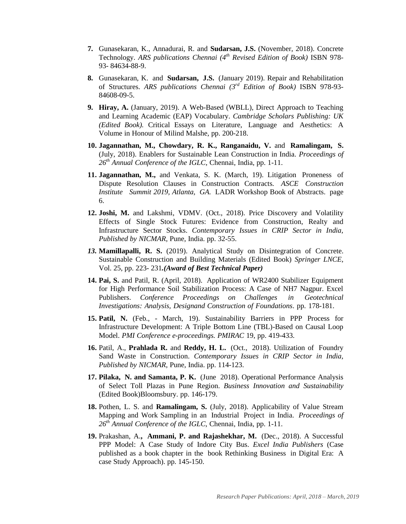- **7.** Gunasekaran, K., Annadurai, R. and **Sudarsan, J.S.** (November, 2018). Concrete Technology. *ARS publications Chennai (4th Revised Edition of Book)* ISBN 978- 93- 84634-88-9.
- **8.** Gunasekaran, K. and **Sudarsan, J.S.** (January 2019). Repair and Rehabilitation of Structures. *ARS publications Chennai (3rd Edition of Book)* ISBN 978-93- 84608-09-5.
- **9. Hiray, A.** (January, 2019). A Web-Based (WBLL), Direct Approach to Teaching and Learning Academic (EAP) Vocabulary. *Cambridge Scholars Publishing: UK (Edited Book).* Critical Essays on Literature, Language and Aesthetics: A Volume in Honour of Milind Malshe, pp. 200-218.
- **10. Jagannathan, M., Chowdary, R. K., Ranganaidu, V.** and **Ramalingam, S.** (July, 2018). Enablers for Sustainable Lean Construction in India. *Proceedings of 26th Annual Conference of the IGLC*, Chennai, India, pp. 1-11.
- **11. Jagannathan, M.,** and Venkata, S. K. (March, 19). Litigation Proneness of Dispute Resolution Clauses in Construction Contracts. *ASCE Construction Institute Summit 2019, Atlanta, GA.* LADR Workshop Book of Abstracts. page 6.
- **12. Joshi, M.** and Lakshmi, VDMV. (Oct., 2018). Price Discovery and Volatility Effects of Single Stock Futures: Evidence from Construction, Realty and Infrastructure Sector Stocks. *Contemporary Issues in CRIP Sector in India, Published by NICMAR*, Pune, India. pp. 32-55.
- *13.* **Mamillapalli, R. S.** (2019). Analytical Study on Disintegration of Concrete. Sustainable Construction and Building Materials (Edited Book) *Springer LNCE,* Vol. 25, pp. 223- 231*.(Award of Best Technical Paper)*
- **14. Pai, S.** and Patil, R. (April, 2018). Application of WR2400 Stabilizer Equipment for High Performance Soil Stabilization Process: A Case of NH7 Nagpur. Excel Publishers. *Conference Proceedings on Challenges in Geotechnical Investigations: Analysis, Designand Construction of Foundations*. pp. 178-181.
- **15. Patil, N.** (Feb., March, 19). Sustainability Barriers in PPP Process for Infrastructure Development: A Triple Bottom Line (TBL)-Based on Causal Loop Model. *PMI Conference e-proceedings. PMIRAC* 19, pp. 419-433.
- **16.** Patil, A., **Prahlada R.** and **Reddy, H. L.** (Oct., 2018). Utilization of Foundry Sand Waste in Construction. *Contemporary Issues in CRIP Sector in India, Published by NICMAR*, Pune, India. pp. 114-123.
- **17. Pilaka, N. and Samanta, P. K.** (June 2018). Operational Performance Analysis of Select Toll Plazas in Pune Region. *Business Innovation and Sustainability* (Edited Book)Bloomsbury. pp. 146-179.
- **18.** Pothen, L. S. and **Ramalingam, S.** (July, 2018). Applicability of Value Stream Mapping and Work Sampling in an Industrial Project in India. *Proceedings of 26th Annual Conference of the IGLC*, Chennai, India, pp. 1-11.
- **19.** Prakashan, A.**, Ammani, P. and Rajashekhar, M.** (Dec., 2018). A Successful PPP Model: A Case Study of Indore City Bus. *Excel India Publishers* (Case published as a book chapter in the book Rethinking Business in Digital Era: A case Study Approach). pp. 145-150.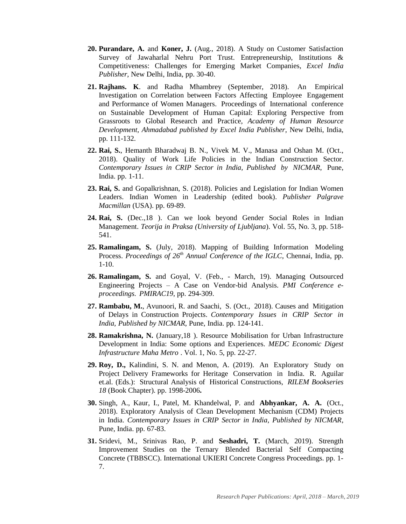- **20. Purandare, A.** and **Koner, J.** (Aug., 2018). A Study on Customer Satisfaction Survey of Jawaharlal Nehru Port Trust. Entrepreneurship, Institutions & Competitiveness: Challenges for Emerging Market Companies, *Excel India Publisher*, New Delhi, India, pp. 30-40.
- **21. Rajhans. K**. and Radha Mhambrey (September, 2018). An Empirical Investigation on Correlation between Factors Affecting Employee Engagement and Performance of Women Managers. Proceedings of International conference on Sustainable Development of Human Capital: Exploring Perspective from Grassroots to Global Research and Practice, *Academy of Human Resource Development, Ahmadabad published by Excel India Publisher*, New Delhi, India, pp. 111-132.
- **22. Rai, S.**, Hemanth Bharadwaj B. N., Vivek M. V., Manasa and Oshan M. (Oct., 2018). Quality of Work Life Policies in the Indian Construction Sector. *Contemporary Issues in CRIP Sector in India, Published by NICMAR*, Pune, India. pp. 1-11.
- **23. Rai, S.** and Gopalkrishnan, S. (2018). Policies and Legislation for Indian Women Leaders. Indian Women in Leadership (edited book). *Publisher Palgrave Macmillan* (USA). pp. 69-89.
- **24. Rai, S.** (Dec.,18 ). Can we look beyond Gender Social Roles in Indian Management. *Teorija in Praksa (University of Ljubljana*). Vol. 55, No. 3, pp. 518- 541.
- **25. Ramalingam, S.** (July, 2018). Mapping of Building Information Modeling Process. *Proceedings of 26th Annual Conference of the IGLC*, Chennai, India, pp. 1-10.
- **26. Ramalingam, S.** and Goyal, V. (Feb., March, 19). Managing Outsourced Engineering Projects – A Case on Vendor-bid Analysis. *PMI Conference eproceedings. PMIRAC19*, pp. 294-309.
- **27. Rambabu, M.**, Avunoori, R. and Saachi, S. (Oct., 2018). Causes and Mitigation of Delays in Construction Projects. *Contemporary Issues in CRIP Sector in India, Published by NICMAR*, Pune, India. pp. 124-141.
- **28. Ramakrishna, N.** (January,18 ). Resource Mobilisation for Urban Infrastructure Development in India: Some options and Experiences. *MEDC Economic Digest Infrastructure Maha Metro* . Vol. 1, No. 5, pp. 22-27.
- **29. Roy, D.,** Kalindini, S. N. and Menon, A. (2019). An Exploratory Study on Project Delivery Frameworks for Heritage Conservation in India. R. Aguilar et.al. (Eds.): Structural Analysis of Historical Constructions, *RILEM Bookseries 18* (Book Chapter). pp. 1998-2006**.**
- **30.** Singh, A., Kaur, I., Patel, M. Khandelwal, P. and **Abhyankar, A. A.** (Oct., 2018). Exploratory Analysis of Clean Development Mechanism (CDM) Projects in India. *Contemporary Issues in CRIP Sector in India, Published by NICMAR*, Pune, India. pp. 67-83.
- **31.** Sridevi, M., Srinivas Rao, P. and **Seshadri, T.** (March, 2019). Strength Improvement Studies on the Ternary Blended Bacterial Self Compacting Concrete (TBBSCC). International UKIERI Concrete Congress Proceedings. pp. 1- 7.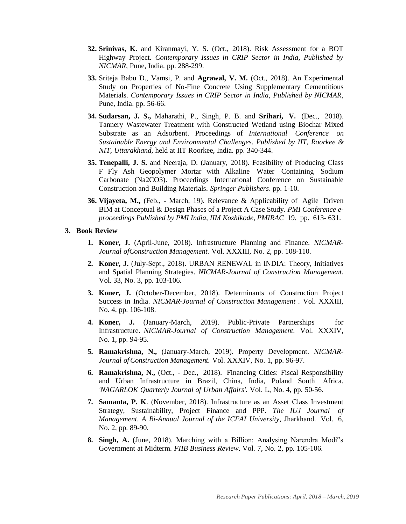- **32. Srinivas, K.** and Kiranmayi, Y. S. (Oct., 2018). Risk Assessment for a BOT Highway Project. *Contemporary Issues in CRIP Sector in India, Published by NICMAR*, Pune, India. pp. 288-299.
- **33.** Sriteja Babu D., Vamsi, P. and **Agrawal, V. M.** (Oct., 2018). An Experimental Study on Properties of No-Fine Concrete Using Supplementary Cementitious Materials. *Contemporary Issues in CRIP Sector in India, Published by NICMAR*, Pune, India. pp. 56-66.
- **34. Sudarsan, J. S.,** Maharathi, P., Singh, P. B. and **Srihari, V.** (Dec., 2018). Tannery Wastewater Treatment with Constructed Wetland using Biochar Mixed Substrate as an Adsorbent. Proceedings of *International Conference on Sustainable Energy and Environmental Challenges*. *Published by IIT, Roorkee & NIT, Uttarakhand,* held at IIT Roorkee, India. pp. 340-344.
- **35. Tenepalli, J. S.** and Neeraja, D. (January, 2018). Feasibility of Producing Class F Fly Ash Geopolymer Mortar with Alkaline Water Containing Sodium Carbonate (Na2CO3). Proceedings International Conference on Sustainable Construction and Building Materials. *Springer Publishers*. pp. 1-10.
- **36. Vijayeta, M.,** (Feb., March, 19). Relevance & Applicability of Agile Driven BIM at Conceptual & Design Phases of a Project A Case Study. *PMI Conference eproceedings Published by PMI India, IIM Kozhikode, PMIRAC* 19. pp. 613- 631.

#### **3. Book Review**

- **1. Koner, J.** (April-June, 2018). Infrastructure Planning and Finance. *NICMAR-Journal ofConstruction Management.* Vol. XXXIII, No. 2, pp. 108-110.
- **2. Koner, J.** (July-Sept., 2018). URBAN RENEWAL in INDIA: Theory, Initiatives and Spatial Planning Strategies. *NICMAR-Journal of Construction Management*. Vol. 33, No. 3, pp. 103-106.
- **3. Koner, J.** (October-December, 2018). Determinants of Construction Project Success in India. *NICMAR-Journal of Construction Management .* Vol. XXXIII, No. 4, pp. 106-108.
- **4. Koner, J.** (January-March, 2019). Public-Private Partnerships for Infrastructure. *NICMAR-Journal of Construction Management.* Vol. XXXIV, No. 1, pp. 94-95.
- **5. Ramakrishna, N.,** (January-March, 2019). Property Development. *NICMAR-Journal ofConstruction Management.* Vol. XXXIV, No. 1, pp. 96-97.
- **6. Ramakrishna, N.,** (Oct., Dec., 2018). Financing Cities: Fiscal Responsibility and Urban Infrastructure in Brazil, China, India, Poland South Africa. *'NAGARLOK Quarterly Journal of Urban Affairs'.* Vol. L, No. 4, pp. 50-56.
- **7. Samanta, P. K**. (November, 2018). Infrastructure as an Asset Class Investment Strategy, Sustainability, Project Finance and PPP. *The IUJ Journal of Management*. *A Bi-Annual Journal of the ICFAI University,* Jharkhand. Vol. 6, No. 2, pp. 89-90.
- **8. Singh, A.** (June, 2018). Marching with a Billion: Analysing Narendra Modi"s Government at Midterm. *FIIB Business Review*. Vol. 7, No. 2, pp. 105-106.